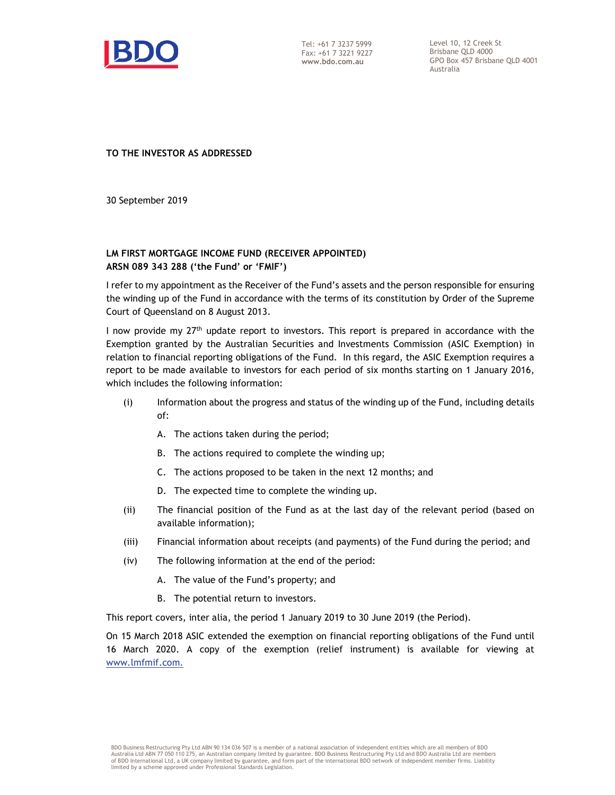

Tel: +61 7 3237 5999 Fax: +61 7 3221 9227 **www.bdo.com.au** 

Level 10, 12 Creek St Brisbane QLD 4000 GPO Box 457 Brisbane QLD 4001 Australia

**TO THE INVESTOR AS ADDRESSED** 

30 September 2019

## **LM FIRST MORTGAGE INCOME FUND (RECEIVER APPOINTED) ARSN 089 343 288 ('the Fund' or 'FMIF')**

I refer to my appointment as the Receiver of the Fund's assets and the person responsible for ensuring the winding up of the Fund in accordance with the terms of its constitution by Order of the Supreme Court of Queensland on 8 August 2013.

I now provide my  $27<sup>th</sup>$  update report to investors. This report is prepared in accordance with the Exemption granted by the Australian Securities and Investments Commission (ASIC Exemption) in relation to financial reporting obligations of the Fund. In this regard, the ASIC Exemption requires a report to be made available to investors for each period of six months starting on 1 January 2016, which includes the following information:

- (i) Information about the progress and status of the winding up of the Fund, including details of:
	- A. The actions taken during the period;
	- B. The actions required to complete the winding up;
	- C. The actions proposed to be taken in the next 12 months; and
	- D. The expected time to complete the winding up.
- (ii) The financial position of the Fund as at the last day of the relevant period (based on available information);
- (iii) Financial information about receipts (and payments) of the Fund during the period; and
- (iv) The following information at the end of the period:
	- A. The value of the Fund's property; and
	- B. The potential return to investors.

This report covers, inter alia, the period 1 January 2019 to 30 June 2019 (the Period).

On 15 March 2018 ASIC extended the exemption on financial reporting obligations of the Fund until 16 March 2020. A copy of the exemption (relief instrument) is available for viewing at www.lmfmif.com.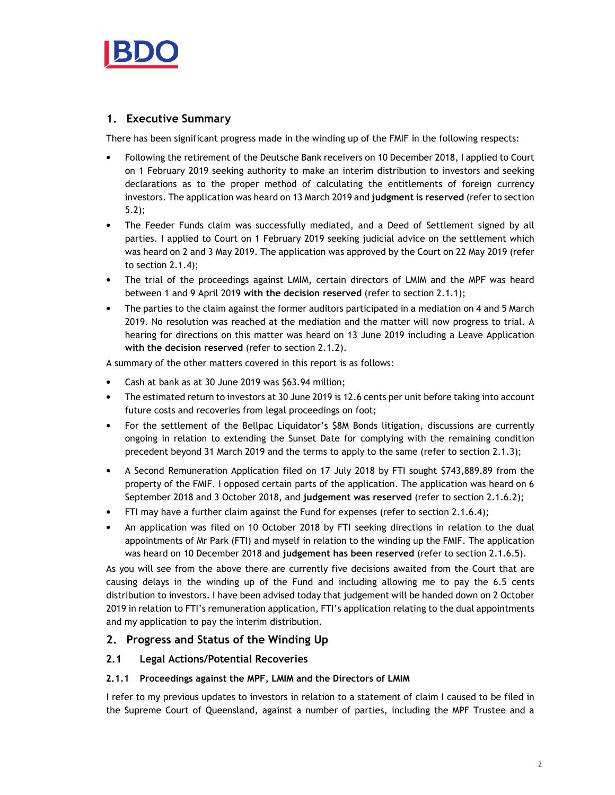

# **1. Executive Summary**

There has been significant progress made in the winding up of the FMIF in the following respects:

- Following the retirement of the Deutsche Bank receivers on 10 December 2018, I applied to Court on 1 February 2019 seeking authority to make an interim distribution to investors and seeking declarations as to the proper method of calculating the entitlements of foreign currency investors. The application was heard on 13 March 2019 and **judgment is reserved** (refer to section 5.2);
- The Feeder Funds claim was successfully mediated, and a Deed of Settlement signed by all parties. I applied to Court on 1 February 2019 seeking judicial advice on the settlement which was heard on 2 and 3 May 2019. The application was approved by the Court on 22 May 2019 (refer to section 2.1.4);
- The trial of the proceedings against LMIM, certain directors of LMIM and the MPF was heard between 1 and 9 April 2019 **with the decision reserved** (refer to section 2.1.1);
- The parties to the claim against the former auditors participated in a mediation on 4 and 5 March 2019. No resolution was reached at the mediation and the matter will now progress to trial. A hearing for directions on this matter was heard on 13 June 2019 including a Leave Application **with the decision reserved** (refer to section 2.1.2).

A summary of the other matters covered in this report is as follows:

- Cash at bank as at 30 June 2019 was \$63.94 million;
- The estimated return to investors at 30 June 2019 is 12.6 cents per unit before taking into account future costs and recoveries from legal proceedings on foot;
- For the settlement of the Bellpac Liquidator's \$8M Bonds litigation, discussions are currently ongoing in relation to extending the Sunset Date for complying with the remaining condition precedent beyond 31 March 2019 and the terms to apply to the same (refer to section 2.1.3);
- A Second Remuneration Application filed on 17 July 2018 by FTI sought \$743,889.89 from the property of the FMIF. I opposed certain parts of the application. The application was heard on 6 September 2018 and 3 October 2018, and **judgement was reserved** (refer to section 2.1.6.2);
- FTI may have a further claim against the Fund for expenses (refer to section 2.1.6.4);
- An application was filed on 10 October 2018 by FTI seeking directions in relation to the dual appointments of Mr Park (FTI) and myself in relation to the winding up the FMIF. The application was heard on 10 December 2018 and **judgement has been reserved** (refer to section 2.1.6.5).

As you will see from the above there are currently five decisions awaited from the Court that are causing delays in the winding up of the Fund and including allowing me to pay the 6.5 cents distribution to investors. I have been advised today that judgement will be handed down on 2 October 2019 in relation to FTI's remuneration application, FTI's application relating to the dual appointments and my application to pay the interim distribution.

# **2. Progress and Status of the Winding Up**

## **2.1 Legal Actions/Potential Recoveries**

#### **2.1.1 Proceedings against the MPF, LMIM and the Directors of LMIM**

I refer to my previous updates to investors in relation to a statement of claim I caused to be filed in the Supreme Court of Queensland, against a number of parties, including the MPF Trustee and a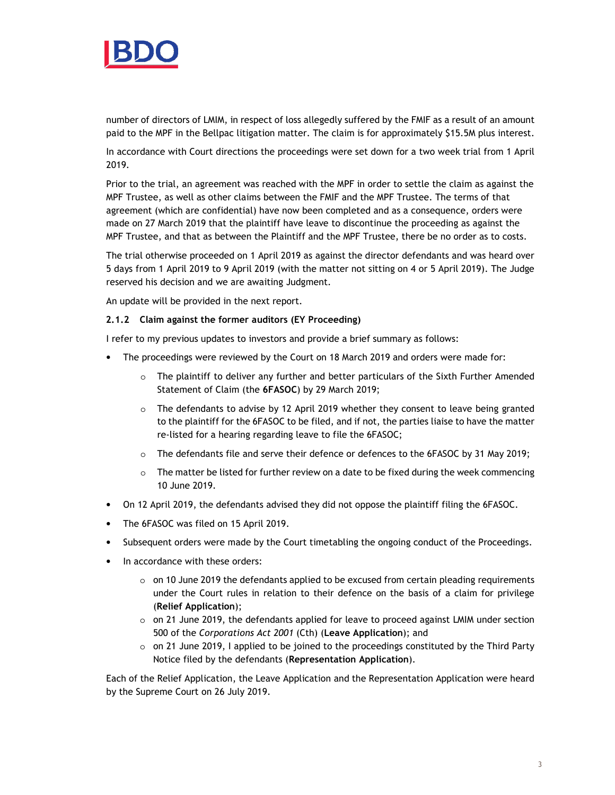

number of directors of LMIM, in respect of loss allegedly suffered by the FMIF as a result of an amount paid to the MPF in the Bellpac litigation matter. The claim is for approximately \$15.5M plus interest.

In accordance with Court directions the proceedings were set down for a two week trial from 1 April 2019.

Prior to the trial, an agreement was reached with the MPF in order to settle the claim as against the MPF Trustee, as well as other claims between the FMIF and the MPF Trustee. The terms of that agreement (which are confidential) have now been completed and as a consequence, orders were made on 27 March 2019 that the plaintiff have leave to discontinue the proceeding as against the MPF Trustee, and that as between the Plaintiff and the MPF Trustee, there be no order as to costs.

The trial otherwise proceeded on 1 April 2019 as against the director defendants and was heard over 5 days from 1 April 2019 to 9 April 2019 (with the matter not sitting on 4 or 5 April 2019). The Judge reserved his decision and we are awaiting Judgment.

An update will be provided in the next report.

#### **2.1.2 Claim against the former auditors (EY Proceeding)**

I refer to my previous updates to investors and provide a brief summary as follows:

- The proceedings were reviewed by the Court on 18 March 2019 and orders were made for:
	- o The plaintiff to deliver any further and better particulars of the Sixth Further Amended Statement of Claim (the **6FASOC**) by 29 March 2019;
	- o The defendants to advise by 12 April 2019 whether they consent to leave being granted to the plaintiff for the 6FASOC to be filed, and if not, the parties liaise to have the matter re-listed for a hearing regarding leave to file the 6FASOC;
	- o The defendants file and serve their defence or defences to the 6FASOC by 31 May 2019;
	- $\circ$  The matter be listed for further review on a date to be fixed during the week commencing 10 June 2019.
- On 12 April 2019, the defendants advised they did not oppose the plaintiff filing the 6FASOC.
- The 6FASOC was filed on 15 April 2019.
- Subsequent orders were made by the Court timetabling the ongoing conduct of the Proceedings.
- In accordance with these orders:
	- $\circ$  on 10 June 2019 the defendants applied to be excused from certain pleading requirements under the Court rules in relation to their defence on the basis of a claim for privilege (**Relief Application**);
	- $\circ$  on 21 June 2019, the defendants applied for leave to proceed against LMIM under section 500 of the *Corporations Act 2001* (Cth) (**Leave Application**); and
	- $\circ$  on 21 June 2019, I applied to be joined to the proceedings constituted by the Third Party Notice filed by the defendants (**Representation Application**).

Each of the Relief Application, the Leave Application and the Representation Application were heard by the Supreme Court on 26 July 2019.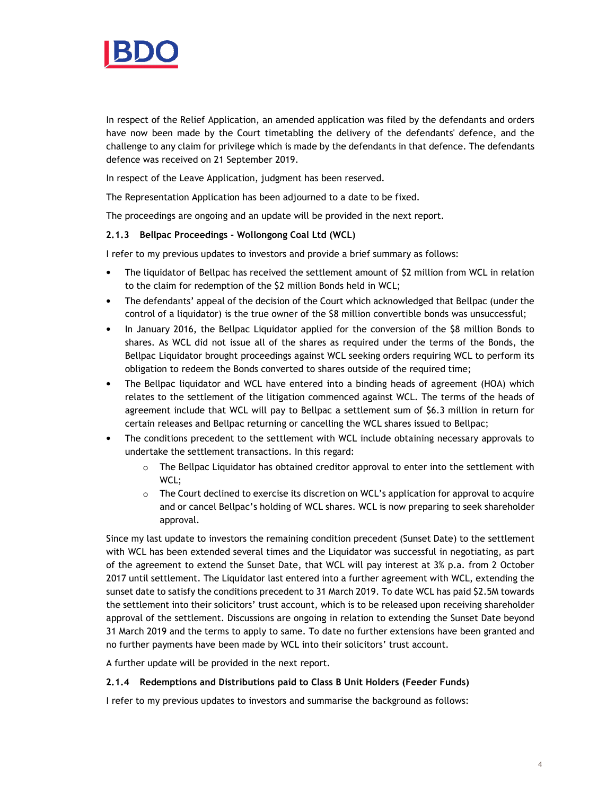

In respect of the Relief Application, an amended application was filed by the defendants and orders have now been made by the Court timetabling the delivery of the defendants' defence, and the challenge to any claim for privilege which is made by the defendants in that defence. The defendants defence was received on 21 September 2019.

In respect of the Leave Application, judgment has been reserved.

The Representation Application has been adjourned to a date to be fixed.

The proceedings are ongoing and an update will be provided in the next report.

#### **2.1.3 Bellpac Proceedings - Wollongong Coal Ltd (WCL)**

I refer to my previous updates to investors and provide a brief summary as follows:

- The liquidator of Bellpac has received the settlement amount of \$2 million from WCL in relation to the claim for redemption of the \$2 million Bonds held in WCL;
- The defendants' appeal of the decision of the Court which acknowledged that Bellpac (under the control of a liquidator) is the true owner of the \$8 million convertible bonds was unsuccessful;
- In January 2016, the Bellpac Liquidator applied for the conversion of the \$8 million Bonds to shares. As WCL did not issue all of the shares as required under the terms of the Bonds, the Bellpac Liquidator brought proceedings against WCL seeking orders requiring WCL to perform its obligation to redeem the Bonds converted to shares outside of the required time;
- The Bellpac liquidator and WCL have entered into a binding heads of agreement (HOA) which relates to the settlement of the litigation commenced against WCL. The terms of the heads of agreement include that WCL will pay to Bellpac a settlement sum of \$6.3 million in return for certain releases and Bellpac returning or cancelling the WCL shares issued to Bellpac;
- The conditions precedent to the settlement with WCL include obtaining necessary approvals to undertake the settlement transactions. In this regard:
	- $\circ$  The Bellpac Liquidator has obtained creditor approval to enter into the settlement with WCL;
	- $\circ$  The Court declined to exercise its discretion on WCL's application for approval to acquire and or cancel Bellpac's holding of WCL shares. WCL is now preparing to seek shareholder approval.

Since my last update to investors the remaining condition precedent (Sunset Date) to the settlement with WCL has been extended several times and the Liquidator was successful in negotiating, as part of the agreement to extend the Sunset Date, that WCL will pay interest at 3% p.a. from 2 October 2017 until settlement. The Liquidator last entered into a further agreement with WCL, extending the sunset date to satisfy the conditions precedent to 31 March 2019. To date WCL has paid \$2.5M towards the settlement into their solicitors' trust account, which is to be released upon receiving shareholder approval of the settlement. Discussions are ongoing in relation to extending the Sunset Date beyond 31 March 2019 and the terms to apply to same. To date no further extensions have been granted and no further payments have been made by WCL into their solicitors' trust account.

A further update will be provided in the next report.

#### **2.1.4 Redemptions and Distributions paid to Class B Unit Holders (Feeder Funds)**

I refer to my previous updates to investors and summarise the background as follows: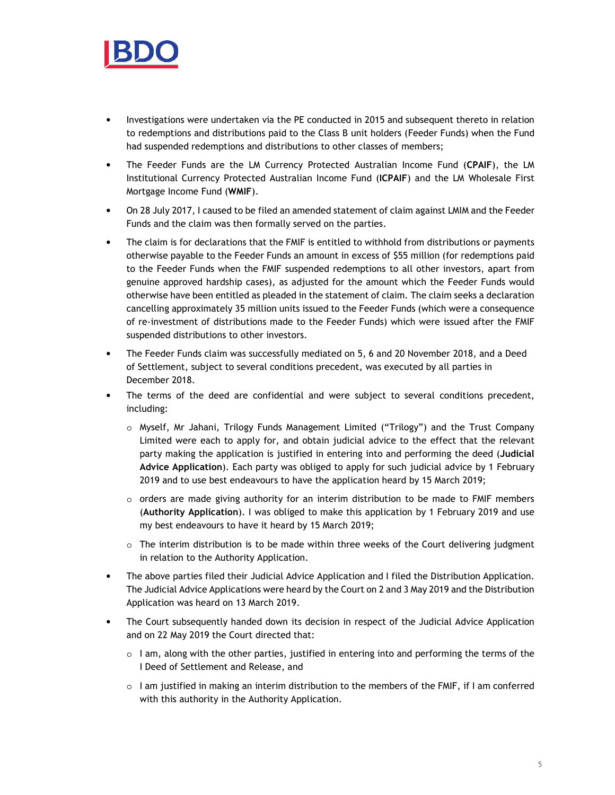

- Investigations were undertaken via the PE conducted in 2015 and subsequent thereto in relation to redemptions and distributions paid to the Class B unit holders (Feeder Funds) when the Fund had suspended redemptions and distributions to other classes of members;
- The Feeder Funds are the LM Currency Protected Australian Income Fund (**CPAIF**), the LM Institutional Currency Protected Australian Income Fund (**ICPAIF**) and the LM Wholesale First Mortgage Income Fund (**WMIF**).
- On 28 July 2017, I caused to be filed an amended statement of claim against LMIM and the Feeder Funds and the claim was then formally served on the parties.
- The claim is for declarations that the FMIF is entitled to withhold from distributions or payments otherwise payable to the Feeder Funds an amount in excess of \$55 million (for redemptions paid to the Feeder Funds when the FMIF suspended redemptions to all other investors, apart from genuine approved hardship cases), as adjusted for the amount which the Feeder Funds would otherwise have been entitled as pleaded in the statement of claim. The claim seeks a declaration cancelling approximately 35 million units issued to the Feeder Funds (which were a consequence of re-investment of distributions made to the Feeder Funds) which were issued after the FMIF suspended distributions to other investors.
- The Feeder Funds claim was successfully mediated on 5, 6 and 20 November 2018, and a Deed of Settlement, subject to several conditions precedent, was executed by all parties in December 2018.
- The terms of the deed are confidential and were subject to several conditions precedent, including:
	- o Myself, Mr Jahani, Trilogy Funds Management Limited ("Trilogy") and the Trust Company Limited were each to apply for, and obtain judicial advice to the effect that the relevant party making the application is justified in entering into and performing the deed (**Judicial Advice Application**). Each party was obliged to apply for such judicial advice by 1 February 2019 and to use best endeavours to have the application heard by 15 March 2019;
	- $\circ$  orders are made giving authority for an interim distribution to be made to FMIF members (**Authority Application**). I was obliged to make this application by 1 February 2019 and use my best endeavours to have it heard by 15 March 2019;
	- o The interim distribution is to be made within three weeks of the Court delivering judgment in relation to the Authority Application.
- The above parties filed their Judicial Advice Application and I filed the Distribution Application. The Judicial Advice Applications were heard by the Court on 2 and 3 May 2019 and the Distribution Application was heard on 13 March 2019.
- The Court subsequently handed down its decision in respect of the Judicial Advice Application and on 22 May 2019 the Court directed that:
	- $\circ$  I am, along with the other parties, justified in entering into and performing the terms of the I Deed of Settlement and Release, and
	- $\circ$  I am justified in making an interim distribution to the members of the FMIF, if I am conferred with this authority in the Authority Application.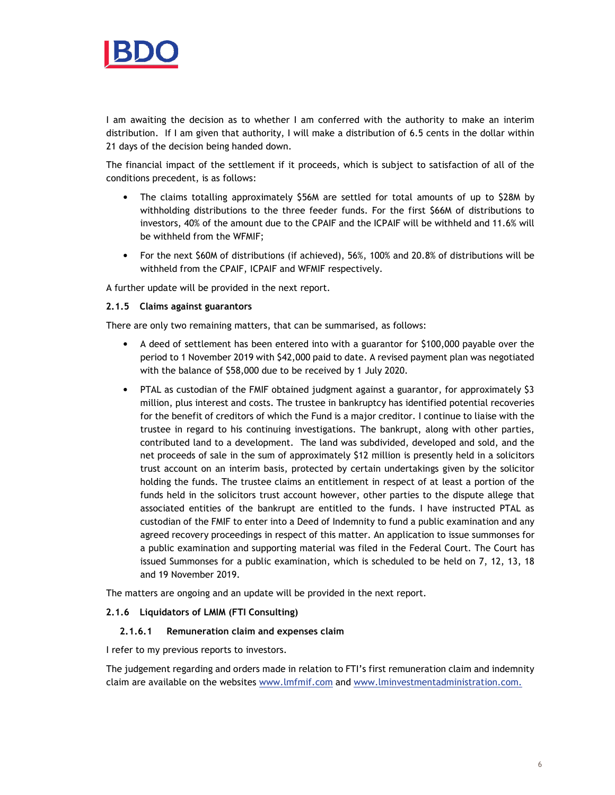

I am awaiting the decision as to whether I am conferred with the authority to make an interim distribution. If I am given that authority, I will make a distribution of 6.5 cents in the dollar within 21 days of the decision being handed down.

The financial impact of the settlement if it proceeds, which is subject to satisfaction of all of the conditions precedent, is as follows:

- The claims totalling approximately \$56M are settled for total amounts of up to \$28M by withholding distributions to the three feeder funds. For the first \$66M of distributions to investors, 40% of the amount due to the CPAIF and the ICPAIF will be withheld and 11.6% will be withheld from the WFMIF;
- For the next \$60M of distributions (if achieved), 56%, 100% and 20.8% of distributions will be withheld from the CPAIF, ICPAIF and WFMIF respectively.

A further update will be provided in the next report.

#### **2.1.5 Claims against guarantors**

There are only two remaining matters, that can be summarised, as follows:

- A deed of settlement has been entered into with a guarantor for \$100,000 payable over the period to 1 November 2019 with \$42,000 paid to date. A revised payment plan was negotiated with the balance of \$58,000 due to be received by 1 July 2020.
- PTAL as custodian of the FMIF obtained judgment against a guarantor, for approximately \$3 million, plus interest and costs. The trustee in bankruptcy has identified potential recoveries for the benefit of creditors of which the Fund is a major creditor. I continue to liaise with the trustee in regard to his continuing investigations. The bankrupt, along with other parties, contributed land to a development. The land was subdivided, developed and sold, and the net proceeds of sale in the sum of approximately \$12 million is presently held in a solicitors trust account on an interim basis, protected by certain undertakings given by the solicitor holding the funds. The trustee claims an entitlement in respect of at least a portion of the funds held in the solicitors trust account however, other parties to the dispute allege that associated entities of the bankrupt are entitled to the funds. I have instructed PTAL as custodian of the FMIF to enter into a Deed of Indemnity to fund a public examination and any agreed recovery proceedings in respect of this matter. An application to issue summonses for a public examination and supporting material was filed in the Federal Court. The Court has issued Summonses for a public examination, which is scheduled to be held on 7, 12, 13, 18 and 19 November 2019.

The matters are ongoing and an update will be provided in the next report.

#### **2.1.6 Liquidators of LMIM (FTI Consulting)**

#### **2.1.6.1 Remuneration claim and expenses claim**

I refer to my previous reports to investors.

The judgement regarding and orders made in relation to FTI's first remuneration claim and indemnity claim are available on the websites www.lmfmif.com and www.lminvestmentadministration.com.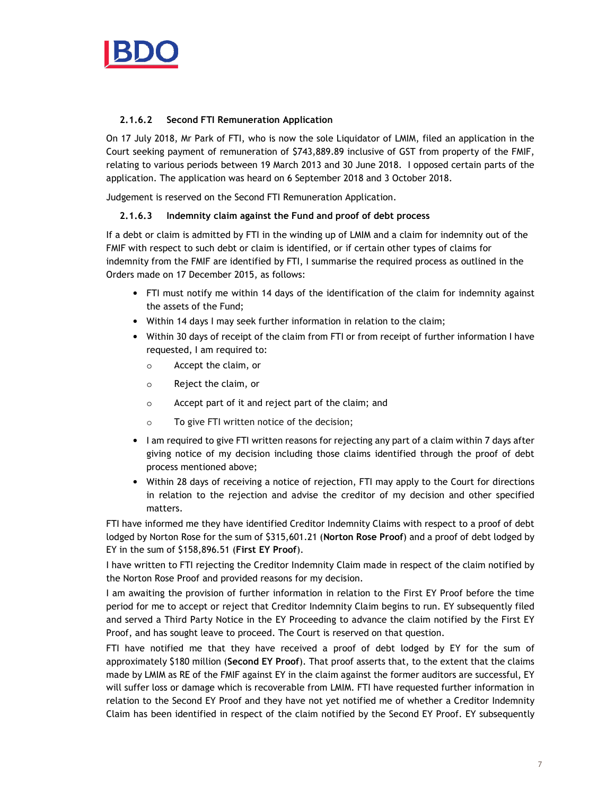

### **2.1.6.2 Second FTI Remuneration Application**

On 17 July 2018, Mr Park of FTI, who is now the sole Liquidator of LMIM, filed an application in the Court seeking payment of remuneration of \$743,889.89 inclusive of GST from property of the FMIF, relating to various periods between 19 March 2013 and 30 June 2018. I opposed certain parts of the application. The application was heard on 6 September 2018 and 3 October 2018.

Judgement is reserved on the Second FTI Remuneration Application.

### **2.1.6.3 Indemnity claim against the Fund and proof of debt process**

If a debt or claim is admitted by FTI in the winding up of LMIM and a claim for indemnity out of the FMIF with respect to such debt or claim is identified, or if certain other types of claims for indemnity from the FMIF are identified by FTI, I summarise the required process as outlined in the Orders made on 17 December 2015, as follows:

- FTI must notify me within 14 days of the identification of the claim for indemnity against the assets of the Fund;
- Within 14 days I may seek further information in relation to the claim;
- Within 30 days of receipt of the claim from FTI or from receipt of further information I have requested, I am required to:
	- o Accept the claim, or
	- o Reject the claim, or
	- o Accept part of it and reject part of the claim; and
	- o To give FTI written notice of the decision;
- I am required to give FTI written reasons for rejecting any part of a claim within 7 days after giving notice of my decision including those claims identified through the proof of debt process mentioned above;
- Within 28 days of receiving a notice of rejection, FTI may apply to the Court for directions in relation to the rejection and advise the creditor of my decision and other specified matters.

FTI have informed me they have identified Creditor Indemnity Claims with respect to a proof of debt lodged by Norton Rose for the sum of \$315,601.21 (**Norton Rose Proof**) and a proof of debt lodged by EY in the sum of \$158,896.51 (**First EY Proof**).

I have written to FTI rejecting the Creditor Indemnity Claim made in respect of the claim notified by the Norton Rose Proof and provided reasons for my decision.

I am awaiting the provision of further information in relation to the First EY Proof before the time period for me to accept or reject that Creditor Indemnity Claim begins to run. EY subsequently filed and served a Third Party Notice in the EY Proceeding to advance the claim notified by the First EY Proof, and has sought leave to proceed. The Court is reserved on that question.

FTI have notified me that they have received a proof of debt lodged by EY for the sum of approximately \$180 million (**Second EY Proof**). That proof asserts that, to the extent that the claims made by LMIM as RE of the FMIF against EY in the claim against the former auditors are successful, EY will suffer loss or damage which is recoverable from LMIM. FTI have requested further information in relation to the Second EY Proof and they have not yet notified me of whether a Creditor Indemnity Claim has been identified in respect of the claim notified by the Second EY Proof. EY subsequently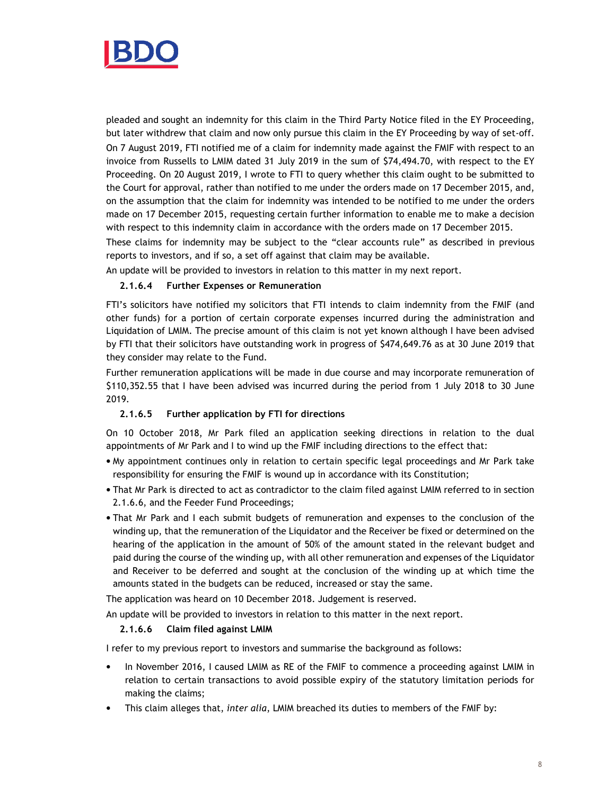

pleaded and sought an indemnity for this claim in the Third Party Notice filed in the EY Proceeding, but later withdrew that claim and now only pursue this claim in the EY Proceeding by way of set-off. On 7 August 2019, FTI notified me of a claim for indemnity made against the FMIF with respect to an invoice from Russells to LMIM dated 31 July 2019 in the sum of \$74,494.70, with respect to the EY Proceeding. On 20 August 2019, I wrote to FTI to query whether this claim ought to be submitted to the Court for approval, rather than notified to me under the orders made on 17 December 2015, and, on the assumption that the claim for indemnity was intended to be notified to me under the orders made on 17 December 2015, requesting certain further information to enable me to make a decision with respect to this indemnity claim in accordance with the orders made on 17 December 2015.

These claims for indemnity may be subject to the "clear accounts rule" as described in previous reports to investors, and if so, a set off against that claim may be available.

An update will be provided to investors in relation to this matter in my next report.

#### **2.1.6.4 Further Expenses or Remuneration**

FTI's solicitors have notified my solicitors that FTI intends to claim indemnity from the FMIF (and other funds) for a portion of certain corporate expenses incurred during the administration and Liquidation of LMIM. The precise amount of this claim is not yet known although I have been advised by FTI that their solicitors have outstanding work in progress of \$474,649.76 as at 30 June 2019 that they consider may relate to the Fund.

Further remuneration applications will be made in due course and may incorporate remuneration of \$110,352.55 that I have been advised was incurred during the period from 1 July 2018 to 30 June 2019.

#### **2.1.6.5 Further application by FTI for directions**

On 10 October 2018, Mr Park filed an application seeking directions in relation to the dual appointments of Mr Park and I to wind up the FMIF including directions to the effect that:

- My appointment continues only in relation to certain specific legal proceedings and Mr Park take responsibility for ensuring the FMIF is wound up in accordance with its Constitution;
- That Mr Park is directed to act as contradictor to the claim filed against LMIM referred to in section 2.1.6.6, and the Feeder Fund Proceedings;
- That Mr Park and I each submit budgets of remuneration and expenses to the conclusion of the winding up, that the remuneration of the Liquidator and the Receiver be fixed or determined on the hearing of the application in the amount of 50% of the amount stated in the relevant budget and paid during the course of the winding up, with all other remuneration and expenses of the Liquidator and Receiver to be deferred and sought at the conclusion of the winding up at which time the amounts stated in the budgets can be reduced, increased or stay the same.

The application was heard on 10 December 2018. Judgement is reserved.

An update will be provided to investors in relation to this matter in the next report.

#### **2.1.6.6 Claim filed against LMIM**

I refer to my previous report to investors and summarise the background as follows:

- In November 2016, I caused LMIM as RE of the FMIF to commence a proceeding against LMIM in relation to certain transactions to avoid possible expiry of the statutory limitation periods for making the claims;
- This claim alleges that, *inter alia*, LMIM breached its duties to members of the FMIF by: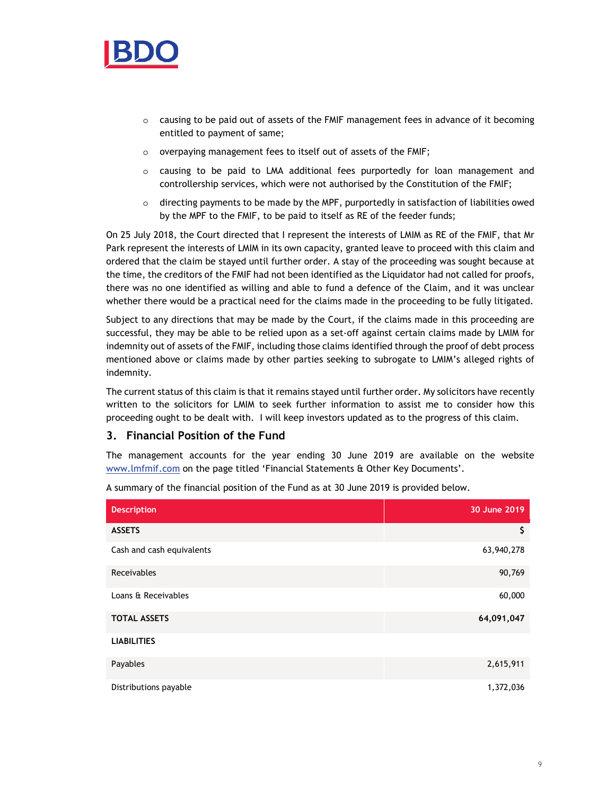

- o causing to be paid out of assets of the FMIF management fees in advance of it becoming entitled to payment of same;
- o overpaying management fees to itself out of assets of the FMIF;
- o causing to be paid to LMA additional fees purportedly for loan management and controllership services, which were not authorised by the Constitution of the FMIF;
- $\circ$  directing payments to be made by the MPF, purportedly in satisfaction of liabilities owed by the MPF to the FMIF, to be paid to itself as RE of the feeder funds;

On 25 July 2018, the Court directed that I represent the interests of LMIM as RE of the FMIF, that Mr Park represent the interests of LMIM in its own capacity, granted leave to proceed with this claim and ordered that the claim be stayed until further order. A stay of the proceeding was sought because at the time, the creditors of the FMIF had not been identified as the Liquidator had not called for proofs, there was no one identified as willing and able to fund a defence of the Claim, and it was unclear whether there would be a practical need for the claims made in the proceeding to be fully litigated.

Subject to any directions that may be made by the Court, if the claims made in this proceeding are successful, they may be able to be relied upon as a set-off against certain claims made by LMIM for indemnity out of assets of the FMIF, including those claims identified through the proof of debt process mentioned above or claims made by other parties seeking to subrogate to LMIM's alleged rights of indemnity.

The current status of this claim is that it remains stayed until further order. My solicitors have recently written to the solicitors for LMIM to seek further information to assist me to consider how this proceeding ought to be dealt with. I will keep investors updated as to the progress of this claim.

# **3. Financial Position of the Fund**

The management accounts for the year ending 30 June 2019 are available on the website www.lmfmif.com on the page titled 'Financial Statements & Other Key Documents'.

| <b>Description</b>        | 30 June 2019 |
|---------------------------|--------------|
| <b>ASSETS</b>             | \$           |
| Cash and cash equivalents | 63,940,278   |
| Receivables               | 90,769       |
| Loans & Receivables       | 60,000       |
| <b>TOTAL ASSETS</b>       | 64,091,047   |
| <b>LIABILITIES</b>        |              |
| Payables                  | 2,615,911    |
| Distributions payable     | 1,372,036    |

A summary of the financial position of the Fund as at 30 June 2019 is provided below.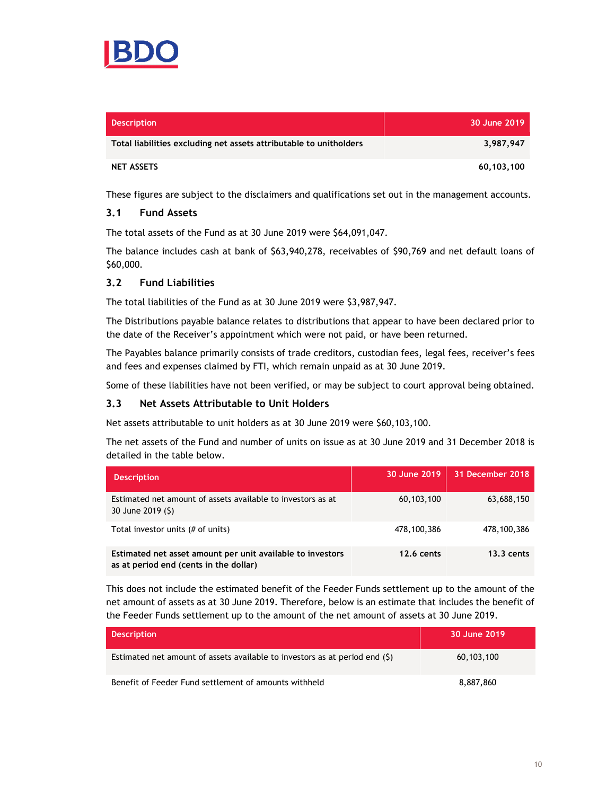

| <b>Description</b>                                                 | 30 June 2019 <b>1</b> |
|--------------------------------------------------------------------|-----------------------|
| Total liabilities excluding net assets attributable to unitholders | 3,987,947             |
| <b>NET ASSETS</b>                                                  | 60,103,100            |

These figures are subject to the disclaimers and qualifications set out in the management accounts.

### **3.1 Fund Assets**

The total assets of the Fund as at 30 June 2019 were \$64,091,047.

The balance includes cash at bank of \$63,940,278, receivables of \$90,769 and net default loans of \$60,000.

### **3.2 Fund Liabilities**

The total liabilities of the Fund as at 30 June 2019 were \$3,987,947.

The Distributions payable balance relates to distributions that appear to have been declared prior to the date of the Receiver's appointment which were not paid, or have been returned.

The Payables balance primarily consists of trade creditors, custodian fees, legal fees, receiver's fees and fees and expenses claimed by FTI, which remain unpaid as at 30 June 2019.

Some of these liabilities have not been verified, or may be subject to court approval being obtained.

#### **3.3 Net Assets Attributable to Unit Holders**

Net assets attributable to unit holders as at 30 June 2019 were \$60,103,100.

The net assets of the Fund and number of units on issue as at 30 June 2019 and 31 December 2018 is detailed in the table below.

| <b>Description</b>                                                                                   | 30 June 2019      | 31 December 2018 |
|------------------------------------------------------------------------------------------------------|-------------------|------------------|
| Estimated net amount of assets available to investors as at<br>30 June 2019 (\$)                     | 60,103,100        | 63,688,150       |
| Total investor units (# of units)                                                                    | 478,100,386       | 478,100,386      |
| Estimated net asset amount per unit available to investors<br>as at period end (cents in the dollar) | <b>12.6 cents</b> | $13.3$ cents     |

This does not include the estimated benefit of the Feeder Funds settlement up to the amount of the net amount of assets as at 30 June 2019. Therefore, below is an estimate that includes the benefit of the Feeder Funds settlement up to the amount of the net amount of assets at 30 June 2019.

| <b>Description</b>                                                          | 30 June 2019 |
|-----------------------------------------------------------------------------|--------------|
| Estimated net amount of assets available to investors as at period end (\$) | 60,103,100   |
| Benefit of Feeder Fund settlement of amounts withheld                       | 8,887,860    |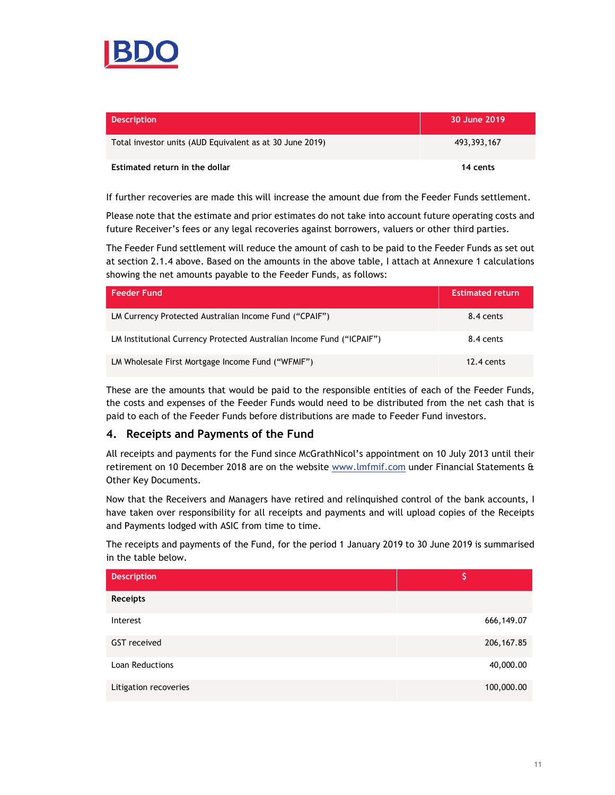

| <b>Description</b>                                       | 30 June 2019 |
|----------------------------------------------------------|--------------|
| Total investor units (AUD Equivalent as at 30 June 2019) | 493,393,167  |
| Estimated return in the dollar                           | 14 cents     |

If further recoveries are made this will increase the amount due from the Feeder Funds settlement.

Please note that the estimate and prior estimates do not take into account future operating costs and future Receiver's fees or any legal recoveries against borrowers, valuers or other third parties.

The Feeder Fund settlement will reduce the amount of cash to be paid to the Feeder Funds as set out at section 2.1.4 above. Based on the amounts in the above table, I attach at Annexure 1 calculations showing the net amounts payable to the Feeder Funds, as follows:

| <b>Feeder Fund</b>                                                    | <b>Estimated return</b> |
|-----------------------------------------------------------------------|-------------------------|
| LM Currency Protected Australian Income Fund ("CPAIF")                | 8.4 cents               |
| LM Institutional Currency Protected Australian Income Fund ("ICPAIF") | 8.4 cents               |
| LM Wholesale First Mortgage Income Fund ("WFMIF")                     | $12.4 \text{ cents}$    |

These are the amounts that would be paid to the responsible entities of each of the Feeder Funds, the costs and expenses of the Feeder Funds would need to be distributed from the net cash that is paid to each of the Feeder Funds before distributions are made to Feeder Fund investors.

## **4. Receipts and Payments of the Fund**

All receipts and payments for the Fund since McGrathNicol's appointment on 10 July 2013 until their retirement on 10 December 2018 are on the website www.lmfmif.com under Financial Statements & Other Key Documents.

Now that the Receivers and Managers have retired and relinquished control of the bank accounts, I have taken over responsibility for all receipts and payments and will upload copies of the Receipts and Payments lodged with ASIC from time to time.

The receipts and payments of the Fund, for the period 1 January 2019 to 30 June 2019 is summarised in the table below.

| <b>Description</b>     | S           |
|------------------------|-------------|
| Receipts               |             |
| Interest               | 666,149.07  |
| GST received           | 206, 167.85 |
| <b>Loan Reductions</b> | 40,000.00   |
| Litigation recoveries  | 100,000.00  |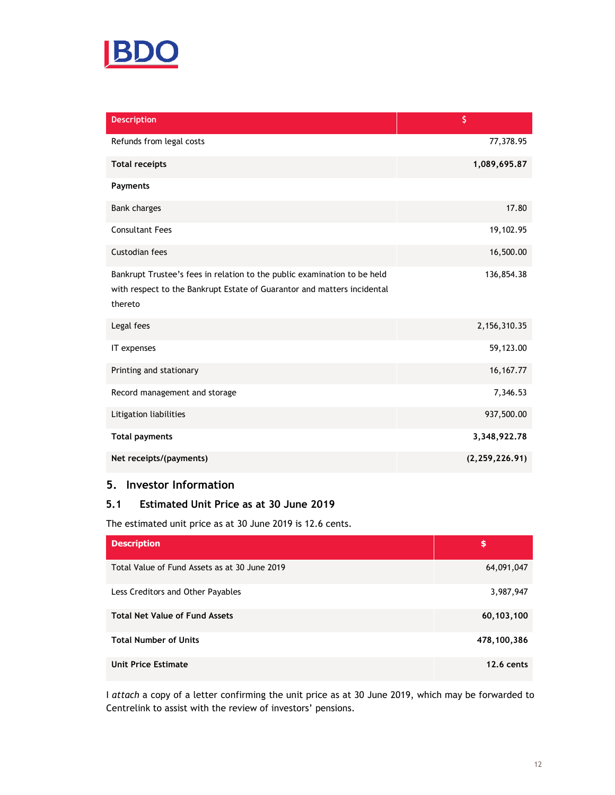

| <b>Description</b>                                                                                                                                             | \$               |
|----------------------------------------------------------------------------------------------------------------------------------------------------------------|------------------|
| Refunds from legal costs                                                                                                                                       | 77,378.95        |
| <b>Total receipts</b>                                                                                                                                          | 1,089,695.87     |
| <b>Payments</b>                                                                                                                                                |                  |
| <b>Bank charges</b>                                                                                                                                            | 17.80            |
| <b>Consultant Fees</b>                                                                                                                                         | 19,102.95        |
| Custodian fees                                                                                                                                                 | 16,500.00        |
| Bankrupt Trustee's fees in relation to the public examination to be held<br>with respect to the Bankrupt Estate of Guarantor and matters incidental<br>thereto | 136,854.38       |
| Legal fees                                                                                                                                                     | 2,156,310.35     |
| IT expenses                                                                                                                                                    | 59,123.00        |
| Printing and stationary                                                                                                                                        | 16, 167. 77      |
| Record management and storage                                                                                                                                  | 7,346.53         |
| Litigation liabilities                                                                                                                                         | 937,500.00       |
| <b>Total payments</b>                                                                                                                                          | 3,348,922.78     |
| Net receipts/(payments)                                                                                                                                        | (2, 259, 226.91) |

# **5. Investor Information**

## **5.1 Estimated Unit Price as at 30 June 2019**

The estimated unit price as at 30 June 2019 is 12.6 cents.

| <b>Description</b>                            | \$                |
|-----------------------------------------------|-------------------|
| Total Value of Fund Assets as at 30 June 2019 | 64,091,047        |
| Less Creditors and Other Payables             | 3,987,947         |
| <b>Total Net Value of Fund Assets</b>         | 60,103,100        |
| <b>Total Number of Units</b>                  | 478,100,386       |
| <b>Unit Price Estimate</b>                    | <b>12.6 cents</b> |

I *attach* a copy of a letter confirming the unit price as at 30 June 2019, which may be forwarded to Centrelink to assist with the review of investors' pensions.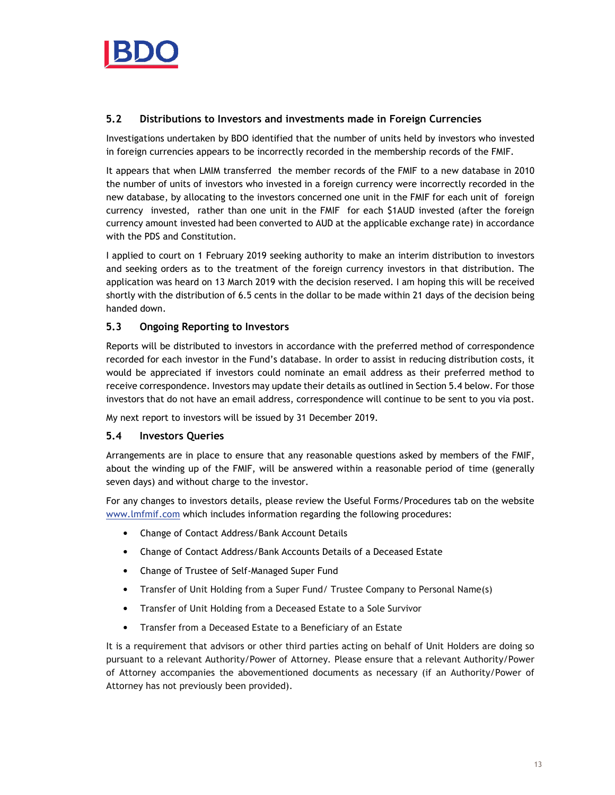

## **5.2 Distributions to Investors and investments made in Foreign Currencies**

Investigations undertaken by BDO identified that the number of units held by investors who invested in foreign currencies appears to be incorrectly recorded in the membership records of the FMIF.

It appears that when LMIM transferred the member records of the FMIF to a new database in 2010 the number of units of investors who invested in a foreign currency were incorrectly recorded in the new database, by allocating to the investors concerned one unit in the FMIF for each unit of foreign currency invested, rather than one unit in the FMIF for each \$1AUD invested (after the foreign currency amount invested had been converted to AUD at the applicable exchange rate) in accordance with the PDS and Constitution.

I applied to court on 1 February 2019 seeking authority to make an interim distribution to investors and seeking orders as to the treatment of the foreign currency investors in that distribution. The application was heard on 13 March 2019 with the decision reserved. I am hoping this will be received shortly with the distribution of 6.5 cents in the dollar to be made within 21 days of the decision being handed down.

## **5.3 Ongoing Reporting to Investors**

Reports will be distributed to investors in accordance with the preferred method of correspondence recorded for each investor in the Fund's database. In order to assist in reducing distribution costs, it would be appreciated if investors could nominate an email address as their preferred method to receive correspondence. Investors may update their details as outlined in Section 5.4 below. For those investors that do not have an email address, correspondence will continue to be sent to you via post.

My next report to investors will be issued by 31 December 2019.

## **5.4 Investors Queries**

Arrangements are in place to ensure that any reasonable questions asked by members of the FMIF, about the winding up of the FMIF, will be answered within a reasonable period of time (generally seven days) and without charge to the investor.

For any changes to investors details, please review the Useful Forms/Procedures tab on the website www.lmfmif.com which includes information regarding the following procedures:

- Change of Contact Address/Bank Account Details
- Change of Contact Address/Bank Accounts Details of a Deceased Estate
- Change of Trustee of Self-Managed Super Fund
- Transfer of Unit Holding from a Super Fund/ Trustee Company to Personal Name(s)
- Transfer of Unit Holding from a Deceased Estate to a Sole Survivor
- Transfer from a Deceased Estate to a Beneficiary of an Estate

It is a requirement that advisors or other third parties acting on behalf of Unit Holders are doing so pursuant to a relevant Authority/Power of Attorney. Please ensure that a relevant Authority/Power of Attorney accompanies the abovementioned documents as necessary (if an Authority/Power of Attorney has not previously been provided).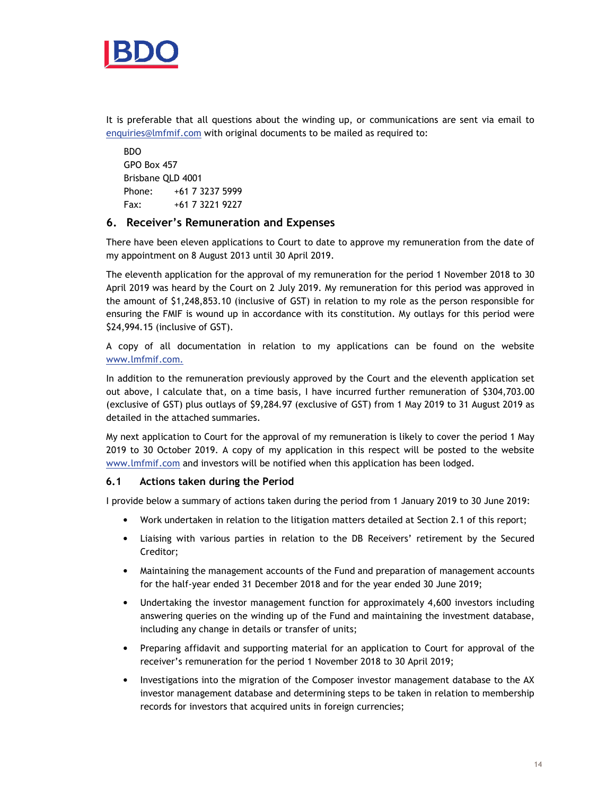

It is preferable that all questions about the winding up, or communications are sent via email to enquiries@lmfmif.com with original documents to be mailed as required to:

BDO GPO Box 457 Brisbane QLD 4001 Phone: +61 7 3237 5999 Fax: +61 7 3221 9227

## **6. Receiver's Remuneration and Expenses**

There have been eleven applications to Court to date to approve my remuneration from the date of my appointment on 8 August 2013 until 30 April 2019.

The eleventh application for the approval of my remuneration for the period 1 November 2018 to 30 April 2019 was heard by the Court on 2 July 2019. My remuneration for this period was approved in the amount of \$1,248,853.10 (inclusive of GST) in relation to my role as the person responsible for ensuring the FMIF is wound up in accordance with its constitution. My outlays for this period were \$24,994.15 (inclusive of GST).

A copy of all documentation in relation to my applications can be found on the website www.lmfmif.com.

In addition to the remuneration previously approved by the Court and the eleventh application set out above, I calculate that, on a time basis, I have incurred further remuneration of \$304,703.00 (exclusive of GST) plus outlays of \$9,284.97 (exclusive of GST) from 1 May 2019 to 31 August 2019 as detailed in the attached summaries.

My next application to Court for the approval of my remuneration is likely to cover the period 1 May 2019 to 30 October 2019. A copy of my application in this respect will be posted to the website www.lmfmif.com and investors will be notified when this application has been lodged.

#### **6.1 Actions taken during the Period**

I provide below a summary of actions taken during the period from 1 January 2019 to 30 June 2019:

- Work undertaken in relation to the litigation matters detailed at Section 2.1 of this report;
- Liaising with various parties in relation to the DB Receivers' retirement by the Secured Creditor;
- Maintaining the management accounts of the Fund and preparation of management accounts for the half-year ended 31 December 2018 and for the year ended 30 June 2019;
- Undertaking the investor management function for approximately 4,600 investors including answering queries on the winding up of the Fund and maintaining the investment database, including any change in details or transfer of units;
- Preparing affidavit and supporting material for an application to Court for approval of the receiver's remuneration for the period 1 November 2018 to 30 April 2019;
- Investigations into the migration of the Composer investor management database to the AX investor management database and determining steps to be taken in relation to membership records for investors that acquired units in foreign currencies;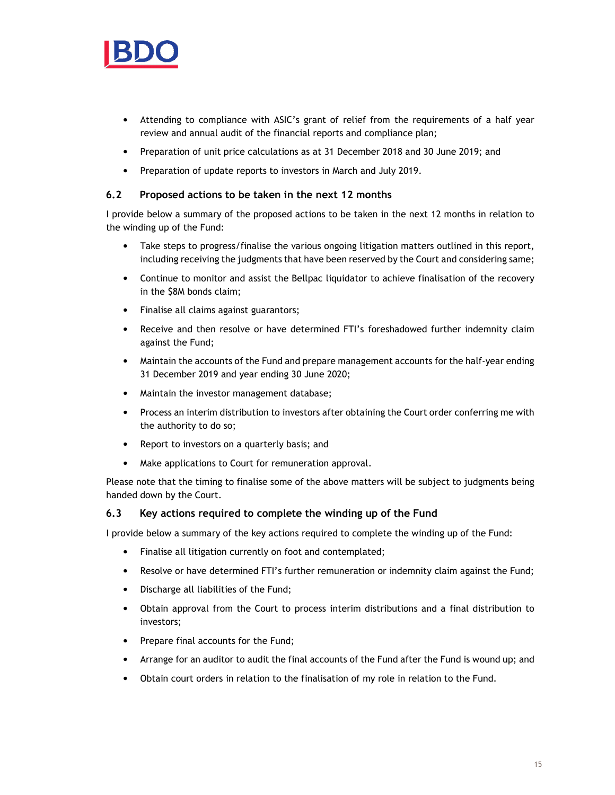

- Attending to compliance with ASIC's grant of relief from the requirements of a half year review and annual audit of the financial reports and compliance plan;
- Preparation of unit price calculations as at 31 December 2018 and 30 June 2019; and
- Preparation of update reports to investors in March and July 2019.

#### **6.2 Proposed actions to be taken in the next 12 months**

I provide below a summary of the proposed actions to be taken in the next 12 months in relation to the winding up of the Fund:

- Take steps to progress/finalise the various ongoing litigation matters outlined in this report, including receiving the judgments that have been reserved by the Court and considering same;
- Continue to monitor and assist the Bellpac liquidator to achieve finalisation of the recovery in the \$8M bonds claim;
- Finalise all claims against guarantors;
- Receive and then resolve or have determined FTI's foreshadowed further indemnity claim against the Fund;
- Maintain the accounts of the Fund and prepare management accounts for the half-year ending 31 December 2019 and year ending 30 June 2020;
- Maintain the investor management database;
- Process an interim distribution to investors after obtaining the Court order conferring me with the authority to do so;
- Report to investors on a quarterly basis; and
- Make applications to Court for remuneration approval.

Please note that the timing to finalise some of the above matters will be subject to judgments being handed down by the Court.

## **6.3 Key actions required to complete the winding up of the Fund**

I provide below a summary of the key actions required to complete the winding up of the Fund:

- Finalise all litigation currently on foot and contemplated;
- Resolve or have determined FTI's further remuneration or indemnity claim against the Fund;
- Discharge all liabilities of the Fund;
- Obtain approval from the Court to process interim distributions and a final distribution to investors;
- Prepare final accounts for the Fund;
- Arrange for an auditor to audit the final accounts of the Fund after the Fund is wound up; and
- Obtain court orders in relation to the finalisation of my role in relation to the Fund.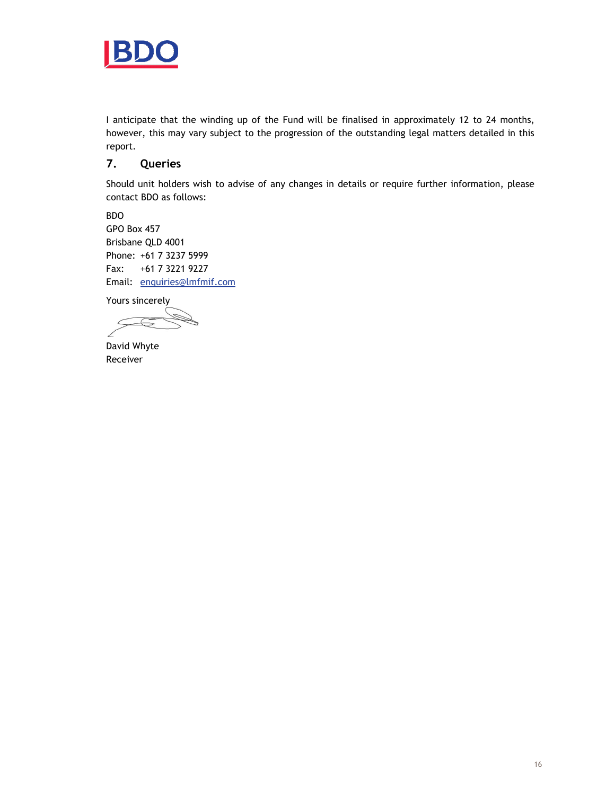

I anticipate that the winding up of the Fund will be finalised in approximately 12 to 24 months, however, this may vary subject to the progression of the outstanding legal matters detailed in this report.

# **7. Queries**

Should unit holders wish to advise of any changes in details or require further information, please contact BDO as follows:

BDO GPO Box 457 Brisbane QLD 4001 Phone: +61 7 3237 5999 Fax: +61 7 3221 9227 Email: enquiries@lmfmif.com

Yours sincerely

David Whyte Receiver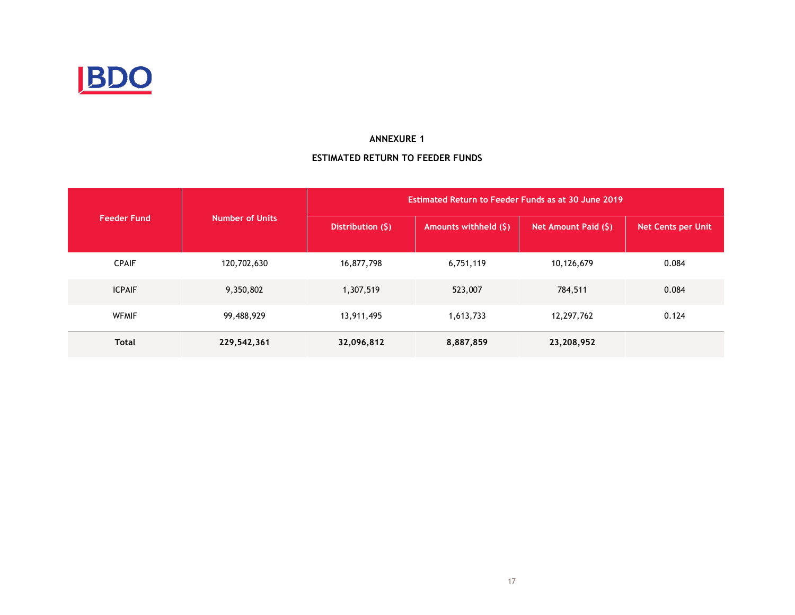

#### **ANNEXURE 1**

## **ESTIMATED RETURN TO FEEDER FUNDS**

|                    |                        |                    | Estimated Return to Feeder Funds as at 30 June 2019 |                      |                           |
|--------------------|------------------------|--------------------|-----------------------------------------------------|----------------------|---------------------------|
| <b>Feeder Fund</b> | <b>Number of Units</b> | Distribution $(5)$ | Amounts withheld (\$)                               | Net Amount Paid (\$) | <b>Net Cents per Unit</b> |
| <b>CPAIF</b>       | 120,702,630            | 16,877,798         | 6,751,119                                           | 10,126,679           | 0.084                     |
| <b>ICPAIF</b>      | 9,350,802              | 1,307,519          | 523,007                                             | 784,511              | 0.084                     |
| <b>WFMIF</b>       | 99,488,929             | 13,911,495         | 1,613,733                                           | 12,297,762           | 0.124                     |
| <b>Total</b>       | 229,542,361            | 32,096,812         | 8,887,859                                           | 23,208,952           |                           |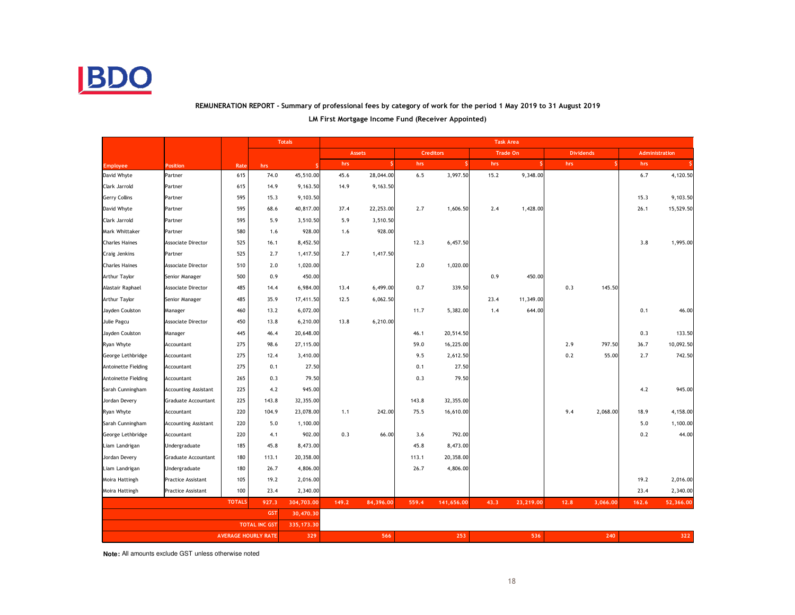

# **REMUNERATION REPORT - Summary of professional fees by category of work for the period 1 May 2019 to 31 August 2019**

|                            |                             |               |                            | <b>Totals</b> | <b>Task Area</b> |           |                  |            |          |           |                  |          |                |           |
|----------------------------|-----------------------------|---------------|----------------------------|---------------|------------------|-----------|------------------|------------|----------|-----------|------------------|----------|----------------|-----------|
|                            |                             |               |                            |               | <b>Assets</b>    |           | <b>Creditors</b> |            | Trade On |           | <b>Dividends</b> |          | Administration |           |
| <b>Employee</b>            | <b>Position</b>             | Rate          | hrs                        |               | hrs              |           | hrs              | S.         | hrs      |           | hrs              |          | hrs            |           |
| David Whyte                | Partner                     | 615           | 74.0                       | 45,510.00     | 45.6             | 28,044.00 | 6.5              | 3,997.50   | 15.2     | 9,348.00  |                  |          | 6.7            | 4,120.50  |
| Clark Jarrold              | Partner                     | 615           | 14.9                       | 9,163.50      | 14.9             | 9,163.50  |                  |            |          |           |                  |          |                |           |
| <b>Gerry Collins</b>       | Partner                     | 595           | 15.3                       | 9,103.50      |                  |           |                  |            |          |           |                  |          | 15.3           | 9,103.50  |
| David Whyte                | Partner                     | 595           | 68.6                       | 40,817.00     | 37.4             | 22,253.00 | 2.7              | 1,606.50   | 2.4      | 1,428.00  |                  |          | 26.1           | 15,529.50 |
| Clark Jarrold              | Partner                     | 595           | 5.9                        | 3,510.50      | 5.9              | 3,510.50  |                  |            |          |           |                  |          |                |           |
| Mark Whittaker             | Partner                     | 580           | 1.6                        | 928.00        | 1.6              | 928.00    |                  |            |          |           |                  |          |                |           |
| <b>Charles Haines</b>      | <b>Associate Director</b>   | 525           | 16.1                       | 8,452.50      |                  |           | 12.3             | 6,457.50   |          |           |                  |          | 3.8            | 1,995.00  |
| Craig Jenkins              | Partner                     | 525           | 2.7                        | 1,417.50      | 2.7              | 1,417.50  |                  |            |          |           |                  |          |                |           |
| <b>Charles Haines</b>      | Associate Director          | 510           | 2.0                        | 1,020.00      |                  |           | 2.0              | 1,020.00   |          |           |                  |          |                |           |
| Arthur Taylor              | Senior Manager              | 500           | 0.9                        | 450.00        |                  |           |                  |            | 0.9      | 450.00    |                  |          |                |           |
| Alastair Raphael           | Associate Director          | 485           | 14.4                       | 6,984.00      | 13.4             | 6,499.00  | 0.7              | 339.50     |          |           | 0.3              | 145.50   |                |           |
| Arthur Taylor              | Senior Manager              | 485           | 35.9                       | 17,411.50     | 12.5             | 6,062.50  |                  |            | 23.4     | 11,349.00 |                  |          |                |           |
| Jayden Coulston            | Manager                     | 460           | 13.2                       | 6,072.00      |                  |           | 11.7             | 5,382.00   | 1.4      | 644.00    |                  |          | 0.1            | 46.00     |
| Julie Pagcu                | Associate Director          | 450           | 13.8                       | 6,210.00      | 13.8             | 6,210.00  |                  |            |          |           |                  |          |                |           |
| Jayden Coulston            | Manager                     | 445           | 46.4                       | 20,648.00     |                  |           | 46.1             | 20,514.50  |          |           |                  |          | 0.3            | 133.50    |
| Ryan Whyte                 | Accountant                  | 275           | 98.6                       | 27,115.00     |                  |           | 59.0             | 16,225.00  |          |           | 2.9              | 797.50   | 36.7           | 10,092.50 |
| George Lethbridge          | Accountant                  | 275           | 12.4                       | 3,410.00      |                  |           | 9.5              | 2,612.50   |          |           | 0.2              | 55.00    | 2.7            | 742.50    |
| Antoinette Fielding        | Accountant                  | 275           | 0.1                        | 27.50         |                  |           | 0.1              | 27.50      |          |           |                  |          |                |           |
| <b>Antoinette Fielding</b> | Accountant                  | 265           | 0.3                        | 79.50         |                  |           | 0.3              | 79.50      |          |           |                  |          |                |           |
| Sarah Cunningham           | <b>Accounting Assistant</b> | 225           | 4.2                        | 945.00        |                  |           |                  |            |          |           |                  |          | 4.2            | 945.00    |
| Jordan Devery              | Graduate Accountant         | 225           | 143.8                      | 32,355.00     |                  |           | 143.8            | 32,355.00  |          |           |                  |          |                |           |
| Ryan Whyte                 | Accountant                  | 220           | 104.9                      | 23,078.00     | 1.1              | 242.00    | 75.5             | 16,610.00  |          |           | 9.4              | 2,068.00 | 18.9           | 4,158.00  |
| Sarah Cunningham           | <b>Accounting Assistant</b> | 220           | 5.0                        | 1,100.00      |                  |           |                  |            |          |           |                  |          | 5.0            | 1,100.00  |
| George Lethbridge          | Accountant                  | 220           | 4.1                        | 902.00        | 0.3              | 66.00     | 3.6              | 792.00     |          |           |                  |          | 0.2            | 44.00     |
| Liam Landrigan             | Undergraduate               | 185           | 45.8                       | 8,473.00      |                  |           | 45.8             | 8,473.00   |          |           |                  |          |                |           |
| Jordan Devery              | Graduate Accountant         | 180           | 113.1                      | 20,358.00     |                  |           | 113.1            | 20,358.00  |          |           |                  |          |                |           |
| Liam Landrigan             | Undergraduate               | 180           | 26.7                       | 4,806.00      |                  |           | 26.7             | 4,806.00   |          |           |                  |          |                |           |
| Moira Hattingh             | <b>Practice Assistant</b>   | 105           | 19.2                       | 2,016.00      |                  |           |                  |            |          |           |                  |          | 19.2           | 2,016.00  |
| Moira Hattingh             | Practice Assistant          | 100           | 23.4                       | 2,340.00      |                  |           |                  |            |          |           |                  |          | 23.4           | 2,340.00  |
|                            |                             | <b>TOTALS</b> | 927.3                      | 304,703.00    | 149.2            | 84,396.00 | 559.4            | 141,656.00 | 43.3     | 23,219.00 | 12.8             | 3,066.00 | 162.6          | 52,366.00 |
|                            |                             |               | <b>GST</b>                 | 30,470.30     |                  |           |                  |            |          |           |                  |          |                |           |
|                            |                             |               | <b>TOTAL INC GST</b>       | 335, 173.30   |                  |           |                  |            |          |           |                  |          |                |           |
|                            |                             |               | <b>AVERAGE HOURLY RATE</b> | 329           |                  | 566       |                  | 253        |          | 536       |                  | 240      |                | 322       |

## **LM First Mortgage Income Fund (Receiver Appointed)**

**Note:** All amounts exclude GST unless otherwise noted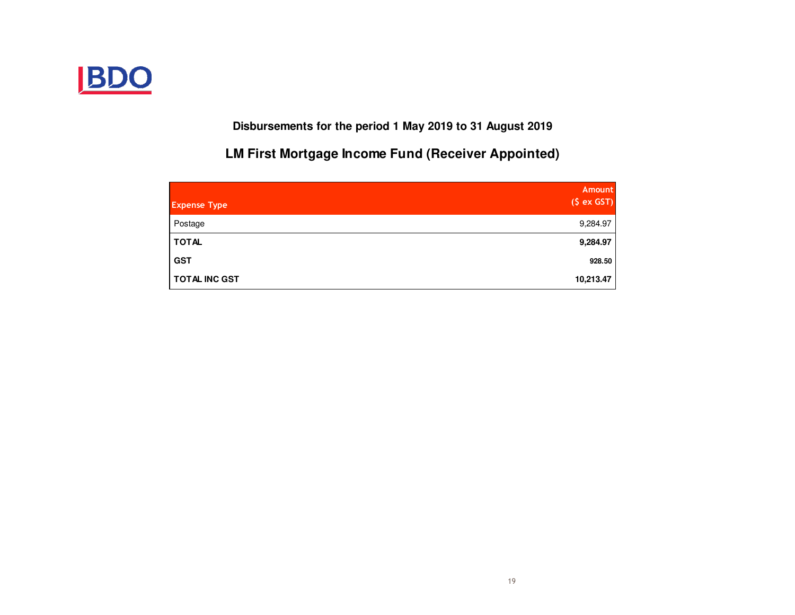

**Disbursements for the period 1 May 2019 to 31 August 2019**

**LM First Mortgage Income Fund (Receiver Appointed)**

| <b>Expense Type</b>  | <b>Amount</b><br>(S ex GST) |
|----------------------|-----------------------------|
| Postage              | 9,284.97                    |
| <b>TOTAL</b>         | 9,284.97                    |
| <b>GST</b>           | 928.50                      |
| <b>TOTAL INC GST</b> | 10,213.47                   |